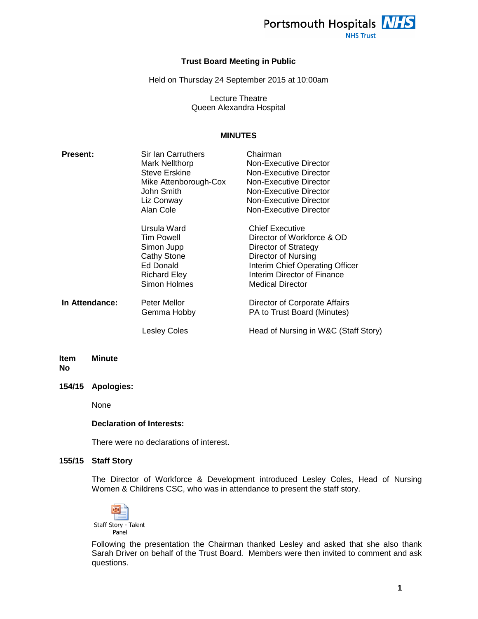

**NHS Trust** 

## **Trust Board Meeting in Public**

Held on Thursday 24 September 2015 at 10:00am

Lecture Theatre Queen Alexandra Hospital

## **MINUTES**

| <b>Present:</b> | Sir Ian Carruthers<br>Mark Nellthorp<br><b>Steve Erskine</b><br>Mike Attenborough-Cox<br>John Smith<br>Liz Conway<br>Alan Cole | Chairman<br>Non-Executive Director<br>Non-Executive Director<br>Non-Executive Director<br>Non-Executive Director<br>Non-Executive Director<br>Non-Executive Director                      |
|-----------------|--------------------------------------------------------------------------------------------------------------------------------|-------------------------------------------------------------------------------------------------------------------------------------------------------------------------------------------|
|                 | Ursula Ward<br>Tim Powell<br>Simon Jupp<br><b>Cathy Stone</b><br><b>Ed Donald</b><br><b>Richard Eley</b><br>Simon Holmes       | <b>Chief Executive</b><br>Director of Workforce & OD<br>Director of Strategy<br>Director of Nursing<br>Interim Chief Operating Officer<br>Interim Director of Finance<br>Medical Director |
| In Attendance:  | Peter Mellor<br>Gemma Hobby                                                                                                    | Director of Corporate Affairs<br>PA to Trust Board (Minutes)                                                                                                                              |
|                 | Lesley Coles                                                                                                                   | Head of Nursing in W&C (Staff Story)                                                                                                                                                      |

#### **Item No Minute**

**154/15 Apologies:** 

None

#### **Declaration of Interests:**

There were no declarations of interest.

## **155/15 Staff Story**

The Director of Workforce & Development introduced Lesley Coles, Head of Nursing Women & Childrens CSC, who was in attendance to present the staff story.



Following the presentation the Chairman thanked Lesley and asked that she also thank Sarah Driver on behalf of the Trust Board. Members were then invited to comment and ask questions.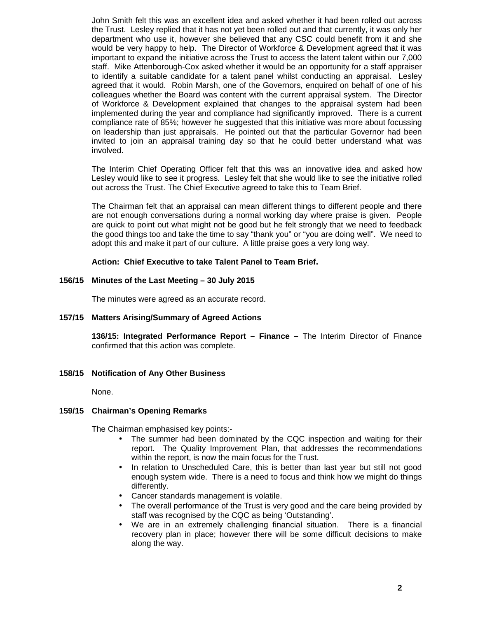John Smith felt this was an excellent idea and asked whether it had been rolled out across the Trust. Lesley replied that it has not yet been rolled out and that currently, it was only her department who use it, however she believed that any CSC could benefit from it and she would be very happy to help. The Director of Workforce & Development agreed that it was important to expand the initiative across the Trust to access the latent talent within our 7,000 staff. Mike Attenborough-Cox asked whether it would be an opportunity for a staff appraiser to identify a suitable candidate for a talent panel whilst conducting an appraisal. Lesley agreed that it would. Robin Marsh, one of the Governors, enquired on behalf of one of his colleagues whether the Board was content with the current appraisal system. The Director of Workforce & Development explained that changes to the appraisal system had been implemented during the year and compliance had significantly improved. There is a current compliance rate of 85%; however he suggested that this initiative was more about focussing on leadership than just appraisals. He pointed out that the particular Governor had been invited to join an appraisal training day so that he could better understand what was involved.

The Interim Chief Operating Officer felt that this was an innovative idea and asked how Lesley would like to see it progress. Lesley felt that she would like to see the initiative rolled out across the Trust. The Chief Executive agreed to take this to Team Brief.

The Chairman felt that an appraisal can mean different things to different people and there are not enough conversations during a normal working day where praise is given. People are quick to point out what might not be good but he felt strongly that we need to feedback the good things too and take the time to say "thank you" or "you are doing well". We need to adopt this and make it part of our culture. A little praise goes a very long way.

## **Action: Chief Executive to take Talent Panel to Team Brief.**

## **156/15 Minutes of the Last Meeting – 30 July 2015**

The minutes were agreed as an accurate record.

## **157/15 Matters Arising/Summary of Agreed Actions**

**136/15: Integrated Performance Report – Finance –** The Interim Director of Finance confirmed that this action was complete.

## **158/15 Notification of Any Other Business**

None.

## **159/15 Chairman's Opening Remarks**

The Chairman emphasised key points:-

- The summer had been dominated by the CQC inspection and waiting for their report. The Quality Improvement Plan, that addresses the recommendations within the report, is now the main focus for the Trust.
- In relation to Unscheduled Care, this is better than last year but still not good enough system wide. There is a need to focus and think how we might do things differently.
- Cancer standards management is volatile.
- The overall performance of the Trust is very good and the care being provided by staff was recognised by the CQC as being 'Outstanding'.
- We are in an extremely challenging financial situation. There is a financial recovery plan in place; however there will be some difficult decisions to make along the way.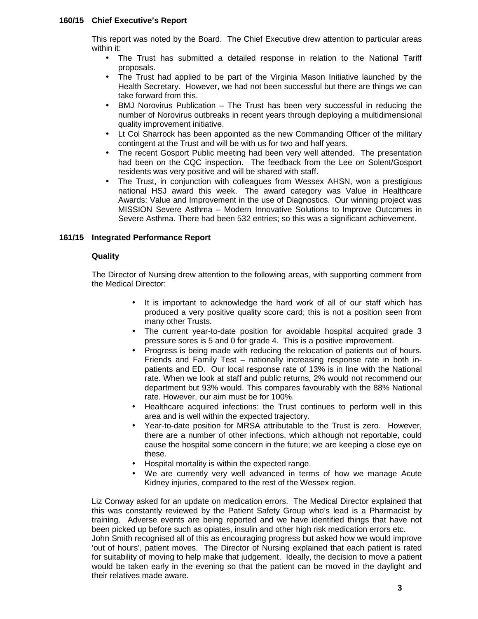## **160/15 Chief Executive's Report**

This report was noted by the Board. The Chief Executive drew attention to particular areas within it:

- The Trust has submitted a detailed response in relation to the National Tariff proposals.
- The Trust had applied to be part of the Virginia Mason Initiative launched by the Health Secretary. However, we had not been successful but there are things we can take forward from this.
- BMJ Norovirus Publication The Trust has been very successful in reducing the number of Norovirus outbreaks in recent years through deploying a multidimensional quality improvement initiative.
- Lt Col Sharrock has been appointed as the new Commanding Officer of the military contingent at the Trust and will be with us for two and half years.
- The recent Gosport Public meeting had been very well attended. The presentation had been on the CQC inspection. The feedback from the Lee on Solent/Gosport residents was very positive and will be shared with staff.
- The Trust, in conjunction with colleagues from Wessex AHSN, won a prestigious national HSJ award this week. The award category was Value in Healthcare Awards: Value and Improvement in the use of Diagnostics. Our winning project was MISSION Severe Asthma – Modern Innovative Solutions to Improve Outcomes in Severe Asthma. There had been 532 entries; so this was a significant achievement.

## **161/15 Integrated Performance Report**

## **Quality**

The Director of Nursing drew attention to the following areas, with supporting comment from the Medical Director:

- It is important to acknowledge the hard work of all of our staff which has produced a very positive quality score card; this is not a position seen from many other Trusts.
- The current year-to-date position for avoidable hospital acquired grade 3 pressure sores is 5 and 0 for grade 4. This is a positive improvement.
- Progress is being made with reducing the relocation of patients out of hours. Friends and Family Test – nationally increasing response rate in both inpatients and ED. Our local response rate of 13% is in line with the National rate. When we look at staff and public returns, 2% would not recommend our department but 93% would. This compares favourably with the 88% National rate. However, our aim must be for 100%.
- Healthcare acquired infections: the Trust continues to perform well in this area and is well within the expected trajectory.
- Year-to-date position for MRSA attributable to the Trust is zero. However, there are a number of other infections, which although not reportable, could cause the hospital some concern in the future; we are keeping a close eye on these.
- Hospital mortality is within the expected range.
- We are currently very well advanced in terms of how we manage Acute Kidney injuries, compared to the rest of the Wessex region.

Liz Conway asked for an update on medication errors. The Medical Director explained that this was constantly reviewed by the Patient Safety Group who's lead is a Pharmacist by training. Adverse events are being reported and we have identified things that have not been picked up before such as opiates, insulin and other high risk medication errors etc. John Smith recognised all of this as encouraging progress but asked how we would improve

'out of hours', patient moves. The Director of Nursing explained that each patient is rated for suitability of moving to help make that judgement. Ideally, the decision to move a patient would be taken early in the evening so that the patient can be moved in the daylight and their relatives made aware.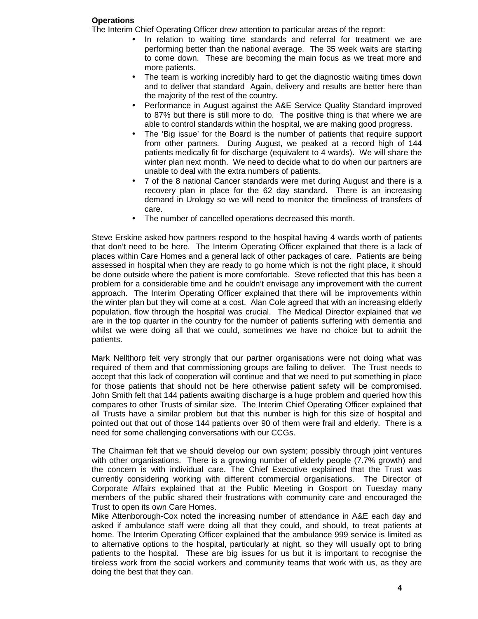## **Operations**

The Interim Chief Operating Officer drew attention to particular areas of the report:

- In relation to waiting time standards and referral for treatment we are performing better than the national average. The 35 week waits are starting to come down. These are becoming the main focus as we treat more and more patients.
- The team is working incredibly hard to get the diagnostic waiting times down and to deliver that standard Again, delivery and results are better here than the majority of the rest of the country.
- Performance in August against the A&E Service Quality Standard improved to 87% but there is still more to do. The positive thing is that where we are able to control standards within the hospital, we are making good progress.
- The 'Big issue' for the Board is the number of patients that require support from other partners. During August, we peaked at a record high of 144 patients medically fit for discharge (equivalent to 4 wards). We will share the winter plan next month. We need to decide what to do when our partners are unable to deal with the extra numbers of patients.
- 7 of the 8 national Cancer standards were met during August and there is a recovery plan in place for the 62 day standard. There is an increasing demand in Urology so we will need to monitor the timeliness of transfers of care.
- The number of cancelled operations decreased this month.

Steve Erskine asked how partners respond to the hospital having 4 wards worth of patients that don't need to be here. The Interim Operating Officer explained that there is a lack of places within Care Homes and a general lack of other packages of care. Patients are being assessed in hospital when they are ready to go home which is not the right place, it should be done outside where the patient is more comfortable. Steve reflected that this has been a problem for a considerable time and he couldn't envisage any improvement with the current approach. The Interim Operating Officer explained that there will be improvements within the winter plan but they will come at a cost. Alan Cole agreed that with an increasing elderly population, flow through the hospital was crucial. The Medical Director explained that we are in the top quarter in the country for the number of patients suffering with dementia and whilst we were doing all that we could, sometimes we have no choice but to admit the patients.

Mark Nellthorp felt very strongly that our partner organisations were not doing what was required of them and that commissioning groups are failing to deliver. The Trust needs to accept that this lack of cooperation will continue and that we need to put something in place for those patients that should not be here otherwise patient safety will be compromised. John Smith felt that 144 patients awaiting discharge is a huge problem and queried how this compares to other Trusts of similar size. The Interim Chief Operating Officer explained that all Trusts have a similar problem but that this number is high for this size of hospital and pointed out that out of those 144 patients over 90 of them were frail and elderly. There is a need for some challenging conversations with our CCGs.

The Chairman felt that we should develop our own system; possibly through joint ventures with other organisations. There is a growing number of elderly people (7.7% growth) and the concern is with individual care. The Chief Executive explained that the Trust was currently considering working with different commercial organisations. The Director of Corporate Affairs explained that at the Public Meeting in Gosport on Tuesday many members of the public shared their frustrations with community care and encouraged the Trust to open its own Care Homes.

Mike Attenborough-Cox noted the increasing number of attendance in A&E each day and asked if ambulance staff were doing all that they could, and should, to treat patients at home. The Interim Operating Officer explained that the ambulance 999 service is limited as to alternative options to the hospital, particularly at night, so they will usually opt to bring patients to the hospital. These are big issues for us but it is important to recognise the tireless work from the social workers and community teams that work with us, as they are doing the best that they can.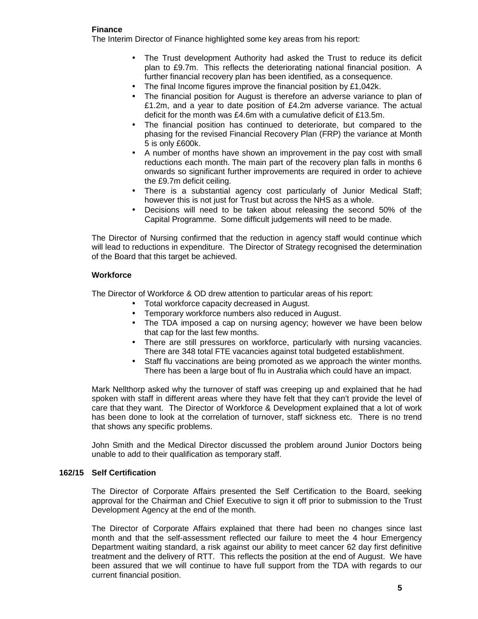# **Finance**

The Interim Director of Finance highlighted some key areas from his report:

- The Trust development Authority had asked the Trust to reduce its deficit plan to £9.7m. This reflects the deteriorating national financial position. A further financial recovery plan has been identified, as a consequence.
- The final Income figures improve the financial position by £1,042k.
- The financial position for August is therefore an adverse variance to plan of £1.2m, and a year to date position of £4.2m adverse variance. The actual deficit for the month was £4.6m with a cumulative deficit of £13.5m.
- The financial position has continued to deteriorate, but compared to the phasing for the revised Financial Recovery Plan (FRP) the variance at Month 5 is only £600k.
- A number of months have shown an improvement in the pay cost with small reductions each month. The main part of the recovery plan falls in months 6 onwards so significant further improvements are required in order to achieve the £9.7m deficit ceiling.
- There is a substantial agency cost particularly of Junior Medical Staff; however this is not just for Trust but across the NHS as a whole.
- Decisions will need to be taken about releasing the second 50% of the Capital Programme. Some difficult judgements will need to be made.

The Director of Nursing confirmed that the reduction in agency staff would continue which will lead to reductions in expenditure. The Director of Strategy recognised the determination of the Board that this target be achieved.

# **Workforce**

The Director of Workforce & OD drew attention to particular areas of his report:

- Total workforce capacity decreased in August.
- Temporary workforce numbers also reduced in August.
- The TDA imposed a cap on nursing agency; however we have been below that cap for the last few months.
- There are still pressures on workforce, particularly with nursing vacancies. There are 348 total FTE vacancies against total budgeted establishment.
- Staff flu vaccinations are being promoted as we approach the winter months. There has been a large bout of flu in Australia which could have an impact.

Mark Nellthorp asked why the turnover of staff was creeping up and explained that he had spoken with staff in different areas where they have felt that they can't provide the level of care that they want. The Director of Workforce & Development explained that a lot of work has been done to look at the correlation of turnover, staff sickness etc. There is no trend that shows any specific problems.

John Smith and the Medical Director discussed the problem around Junior Doctors being unable to add to their qualification as temporary staff.

# **162/15 Self Certification**

The Director of Corporate Affairs presented the Self Certification to the Board, seeking approval for the Chairman and Chief Executive to sign it off prior to submission to the Trust Development Agency at the end of the month.

The Director of Corporate Affairs explained that there had been no changes since last month and that the self-assessment reflected our failure to meet the 4 hour Emergency Department waiting standard, a risk against our ability to meet cancer 62 day first definitive treatment and the delivery of RTT. This reflects the position at the end of August. We have been assured that we will continue to have full support from the TDA with regards to our current financial position.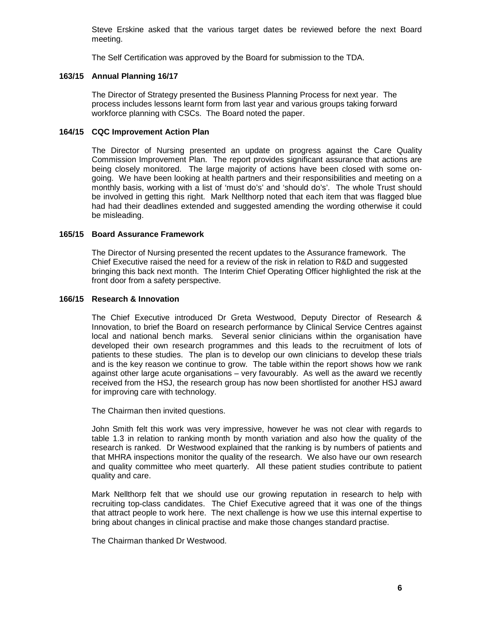Steve Erskine asked that the various target dates be reviewed before the next Board meeting.

The Self Certification was approved by the Board for submission to the TDA.

## **163/15 Annual Planning 16/17**

The Director of Strategy presented the Business Planning Process for next year. The process includes lessons learnt form from last year and various groups taking forward workforce planning with CSCs. The Board noted the paper.

## **164/15 CQC Improvement Action Plan**

The Director of Nursing presented an update on progress against the Care Quality Commission Improvement Plan. The report provides significant assurance that actions are being closely monitored. The large majority of actions have been closed with some ongoing. We have been looking at health partners and their responsibilities and meeting on a monthly basis, working with a list of 'must do's' and 'should do's'. The whole Trust should be involved in getting this right. Mark Nellthorp noted that each item that was flagged blue had had their deadlines extended and suggested amending the wording otherwise it could be misleading.

## **165/15 Board Assurance Framework**

The Director of Nursing presented the recent updates to the Assurance framework. The Chief Executive raised the need for a review of the risk in relation to R&D and suggested bringing this back next month. The Interim Chief Operating Officer highlighted the risk at the front door from a safety perspective.

## **166/15 Research & Innovation**

The Chief Executive introduced Dr Greta Westwood, Deputy Director of Research & Innovation, to brief the Board on research performance by Clinical Service Centres against local and national bench marks. Several senior clinicians within the organisation have developed their own research programmes and this leads to the recruitment of lots of patients to these studies. The plan is to develop our own clinicians to develop these trials and is the key reason we continue to grow. The table within the report shows how we rank against other large acute organisations – very favourably. As well as the award we recently received from the HSJ, the research group has now been shortlisted for another HSJ award for improving care with technology.

The Chairman then invited questions.

John Smith felt this work was very impressive, however he was not clear with regards to table 1.3 in relation to ranking month by month variation and also how the quality of the research is ranked. Dr Westwood explained that the ranking is by numbers of patients and that MHRA inspections monitor the quality of the research. We also have our own research and quality committee who meet quarterly. All these patient studies contribute to patient quality and care.

Mark Nellthorp felt that we should use our growing reputation in research to help with recruiting top-class candidates. The Chief Executive agreed that it was one of the things that attract people to work here. The next challenge is how we use this internal expertise to bring about changes in clinical practise and make those changes standard practise.

The Chairman thanked Dr Westwood.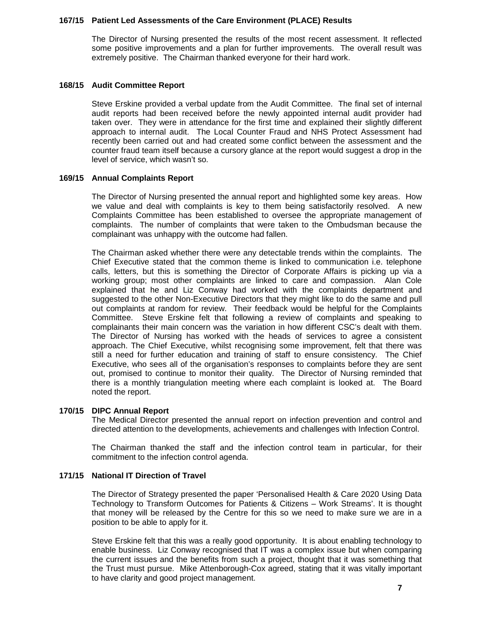## **167/15 Patient Led Assessments of the Care Environment (PLACE) Results**

The Director of Nursing presented the results of the most recent assessment. It reflected some positive improvements and a plan for further improvements. The overall result was extremely positive. The Chairman thanked everyone for their hard work.

## **168/15 Audit Committee Report**

Steve Erskine provided a verbal update from the Audit Committee. The final set of internal audit reports had been received before the newly appointed internal audit provider had taken over. They were in attendance for the first time and explained their slightly different approach to internal audit. The Local Counter Fraud and NHS Protect Assessment had recently been carried out and had created some conflict between the assessment and the counter fraud team itself because a cursory glance at the report would suggest a drop in the level of service, which wasn't so.

## **169/15 Annual Complaints Report**

The Director of Nursing presented the annual report and highlighted some key areas. How we value and deal with complaints is key to them being satisfactorily resolved. A new Complaints Committee has been established to oversee the appropriate management of complaints. The number of complaints that were taken to the Ombudsman because the complainant was unhappy with the outcome had fallen.

The Chairman asked whether there were any detectable trends within the complaints. The Chief Executive stated that the common theme is linked to communication i.e. telephone calls, letters, but this is something the Director of Corporate Affairs is picking up via a working group; most other complaints are linked to care and compassion. Alan Cole explained that he and Liz Conway had worked with the complaints department and suggested to the other Non-Executive Directors that they might like to do the same and pull out complaints at random for review. Their feedback would be helpful for the Complaints Committee. Steve Erskine felt that following a review of complaints and speaking to complainants their main concern was the variation in how different CSC's dealt with them. The Director of Nursing has worked with the heads of services to agree a consistent approach. The Chief Executive, whilst recognising some improvement, felt that there was still a need for further education and training of staff to ensure consistency. The Chief Executive, who sees all of the organisation's responses to complaints before they are sent out, promised to continue to monitor their quality. The Director of Nursing reminded that there is a monthly triangulation meeting where each complaint is looked at. The Board noted the report.

# **170/15 DIPC Annual Report**

The Medical Director presented the annual report on infection prevention and control and directed attention to the developments, achievements and challenges with Infection Control.

The Chairman thanked the staff and the infection control team in particular, for their commitment to the infection control agenda.

# **171/15 National IT Direction of Travel**

The Director of Strategy presented the paper 'Personalised Health & Care 2020 Using Data Technology to Transform Outcomes for Patients & Citizens – Work Streams'. It is thought that money will be released by the Centre for this so we need to make sure we are in a position to be able to apply for it.

Steve Erskine felt that this was a really good opportunity. It is about enabling technology to enable business. Liz Conway recognised that IT was a complex issue but when comparing the current issues and the benefits from such a project, thought that it was something that the Trust must pursue. Mike Attenborough-Cox agreed, stating that it was vitally important to have clarity and good project management.